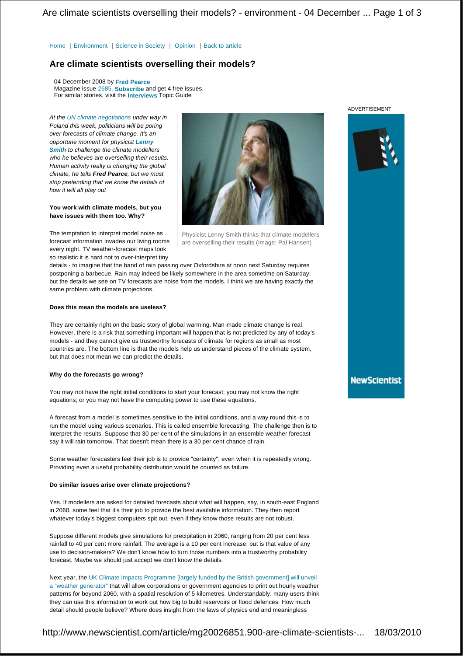Home | Environment | Science in Society | Opinion | Back to article

# **Are climate scientists overselling their models?**

04 December 2008 by **Fred Pearce** Magazine issue 2685. **Subscribe** and get 4 free issues. For similar stories, visit the **Interviews** Topic Guide

At the UN climate negotiations under way in Poland this week, politicians will be poring over forecasts of climate change. It's an opportune moment for physicist **Lenny Smith** to challenge the climate modellers who he believes are overselling their results. Human activity really is changing the global climate, he tells **Fred Pearce**, but we must stop pretending that we know the details of how it will all play out

# **You work with climate models, but you have issues with them too. Why?**

The temptation to interpret model noise as forecast information invades our living rooms every night. TV weather-forecast maps look so realistic it is hard not to over-interpret tiny



Physicist Lenny Smith thinks that climate modellers are overselling their results (Image: Pal Hansen)

details - to imagine that the band of rain passing over Oxfordshire at noon next Saturday requires postponing a barbecue. Rain may indeed be likely somewhere in the area sometime on Saturday, but the details we see on TV forecasts are noise from the models. I think we are having exactly the same problem with climate projections.

#### **Does this mean the models are useless?**

They are certainly right on the basic story of global warming. Man-made climate change is real. However, there is a risk that something important will happen that is not predicted by any of today's models - and they cannot give us trustworthy forecasts of climate for regions as small as most countries are. The bottom line is that the models help us understand pieces of the climate system, but that does not mean we can predict the details.

#### **Why do the forecasts go wrong?**

You may not have the right initial conditions to start your forecast; you may not know the right equations; or you may not have the computing power to use these equations.

A forecast from a model is sometimes sensitive to the initial conditions, and a way round this is to run the model using various scenarios. This is called ensemble forecasting. The challenge then is to interpret the results. Suppose that 30 per cent of the simulations in an ensemble weather forecast say it will rain tomorrow. That doesn't mean there is a 30 per cent chance of rain.

Some weather forecasters feel their job is to provide "certainty", even when it is repeatedly wrong. Providing even a useful probability distribution would be counted as failure.

#### **Do similar issues arise over climate projections?**

Yes. If modellers are asked for detailed forecasts about what will happen, say, in south-east England in 2060, some feel that it's their job to provide the best available information. They then report whatever today's biggest computers spit out, even if they know those results are not robust.

Suppose different models give simulations for precipitation in 2060, ranging from 20 per cent less rainfall to 40 per cent more rainfall. The average is a 10 per cent increase, but is that value of any use to decision-makers? We don't know how to turn those numbers into a trustworthy probability forecast. Maybe we should just accept we don't know the details.

Next year, the UK Climate Impacts Programme [largely funded by the British government] will unveil a "weather generator" that will allow corporations or government agencies to print out hourly weather patterns for beyond 2060, with a spatial resolution of 5 kilometres. Understandably, many users think they can use this information to work out how big to build reservoirs or flood defences. How much detail should people believe? Where does insight from the laws of physics end and meaningless

ADVERTISEMENT



**NewScientist**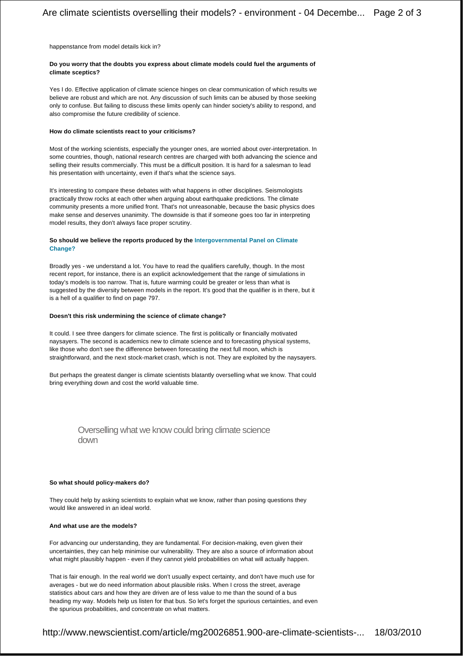happenstance from model details kick in?

# **Do you worry that the doubts you express about climate models could fuel the arguments of climate sceptics?**

Yes I do. Effective application of climate science hinges on clear communication of which results we believe are robust and which are not. Any discussion of such limits can be abused by those seeking only to confuse. But failing to discuss these limits openly can hinder society's ability to respond, and also compromise the future credibility of science.

# **How do climate scientists react to your criticisms?**

Most of the working scientists, especially the younger ones, are worried about over-interpretation. In some countries, though, national research centres are charged with both advancing the science and selling their results commercially. This must be a difficult position. It is hard for a salesman to lead his presentation with uncertainty, even if that's what the science says.

It's interesting to compare these debates with what happens in other disciplines. Seismologists practically throw rocks at each other when arguing about earthquake predictions. The climate community presents a more unified front. That's not unreasonable, because the basic physics does make sense and deserves unanimity. The downside is that if someone goes too far in interpreting model results, they don't always face proper scrutiny.

# **So should we believe the reports produced by the Intergovernmental Panel on Climate Change?**

Broadly yes - we understand a lot. You have to read the qualifiers carefully, though. In the most recent report, for instance, there is an explicit acknowledgement that the range of simulations in today's models is too narrow. That is, future warming could be greater or less than what is suggested by the diversity between models in the report. It's good that the qualifier is in there, but it is a hell of a qualifier to find on page 797.

#### **Doesn't this risk undermining the science of climate change?**

It could. I see three dangers for climate science. The first is politically or financially motivated naysayers. The second is academics new to climate science and to forecasting physical systems, like those who don't see the difference between forecasting the next full moon, which is straightforward, and the next stock-market crash, which is not. They are exploited by the naysayers.

But perhaps the greatest danger is climate scientists blatantly overselling what we know. That could bring everything down and cost the world valuable time.

> Overselling what we know could bring climate science down

### **So what should policy-makers do?**

They could help by asking scientists to explain what we know, rather than posing questions they would like answered in an ideal world.

### **And what use are the models?**

For advancing our understanding, they are fundamental. For decision-making, even given their uncertainties, they can help minimise our vulnerability. They are also a source of information about what might plausibly happen - even if they cannot yield probabilities on what will actually happen.

That is fair enough. In the real world we don't usually expect certainty, and don't have much use for averages - but we do need information about plausible risks. When I cross the street, average statistics about cars and how they are driven are of less value to me than the sound of a bus heading my way. Models help us listen for that bus. So let's forget the spurious certainties, and even the spurious probabilities, and concentrate on what matters.